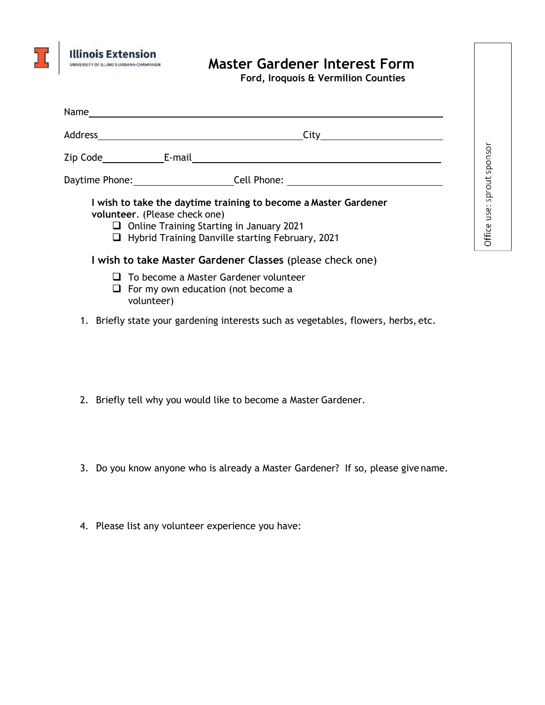

## **Master Gardener Interest Form**

**Ford, Iroquois & Vermilion Counties** 

Office use: sprout sponsor

| Address _______ | City                                                                                                                                                                                                                                                                        |
|-----------------|-----------------------------------------------------------------------------------------------------------------------------------------------------------------------------------------------------------------------------------------------------------------------------|
|                 | Zip Code_________________E-mail                                                                                                                                                                                                                                             |
|                 | Daytime Phone: Cell Phone: Cell Phone:                                                                                                                                                                                                                                      |
|                 | I wish to take the daytime training to become a Master Gardener<br>volunteer. (Please check one)<br>$\Box$ Online Training Starting in January 2021<br>$\Box$ Hybrid Training Danville starting February, 2021<br>I wish to take Master Gardener Classes (please check one) |
|                 | $\Box$ To become a Master Gardener volunteer<br>$\Box$ For my own education (not become a<br>volunteer)                                                                                                                                                                     |
|                 | 1. Briefly state your gardening interests such as vegetables, flowers, herbs, etc.                                                                                                                                                                                          |

- 2. Briefly tell why you would like to become a Master Gardener.
- 3. Do you know anyone who is already a Master Gardener? If so, please give name.
- 4. Please list any volunteer experience you have: